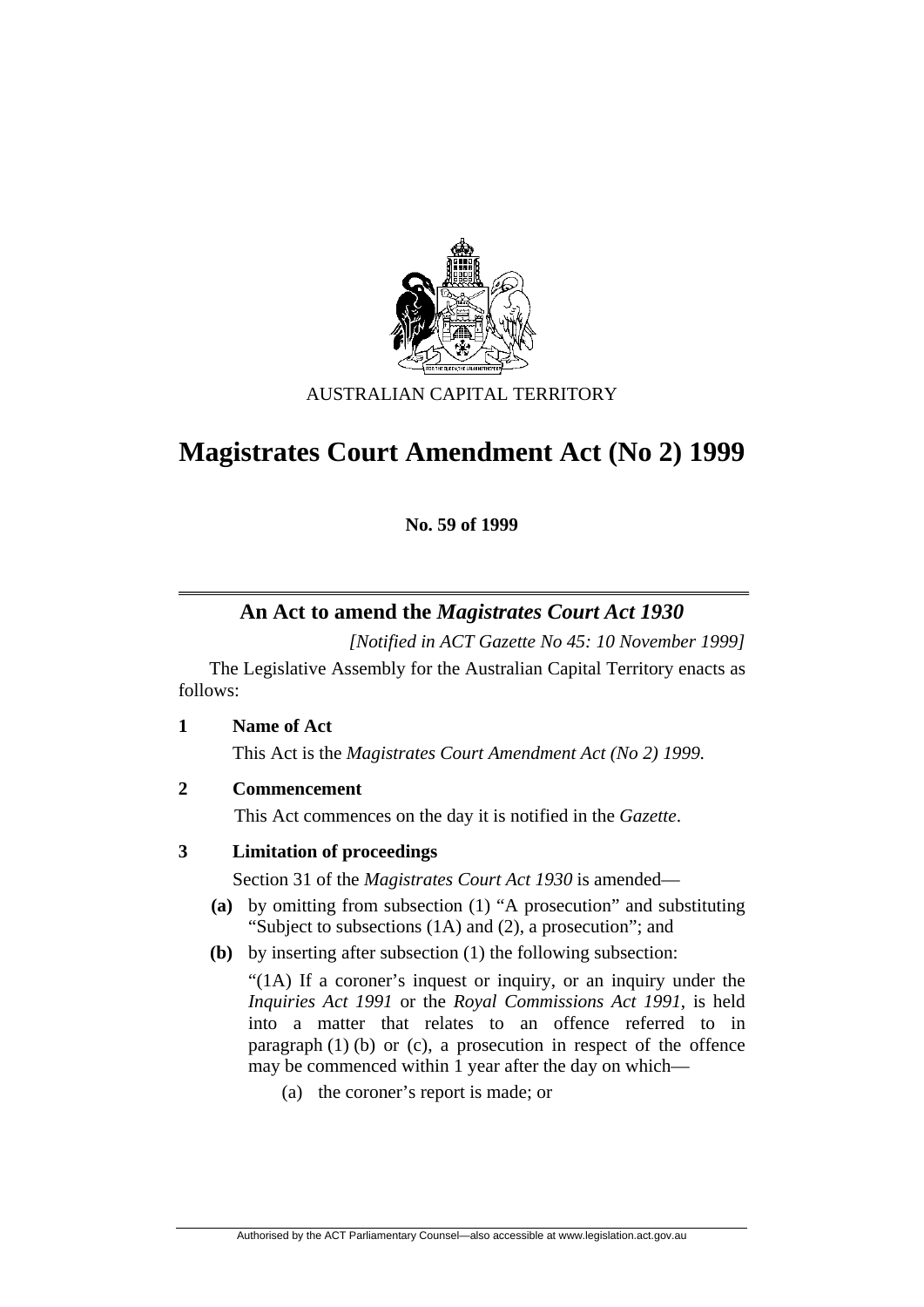

## AUSTRALIAN CAPITAL TERRITORY

# **Magistrates Court Amendment Act (No 2) 1999**

**No. 59 of 1999** 

## **An Act to amend the** *Magistrates Court Act 1930*

*[Notified in ACT Gazette No 45: 10 November 1999]* 

 The Legislative Assembly for the Australian Capital Territory enacts as follows:

**1 Name of Act**

This Act is the *Magistrates Court Amendment Act (No 2) 1999.*

**2 Commencement** 

This Act commences on the day it is notified in the *Gazette*.

### **3 Limitation of proceedings**

Section 31 of the *Magistrates Court Act 1930* is amended—

- **(a)** by omitting from subsection (1) "A prosecution" and substituting "Subject to subsections (1A) and (2), a prosecution"; and
- **(b)** by inserting after subsection (1) the following subsection:

"(1A) If a coroner's inquest or inquiry, or an inquiry under the *Inquiries Act 1991* or the *Royal Commissions Act 1991*, is held into a matter that relates to an offence referred to in paragraph  $(1)$  (b) or (c), a prosecution in respect of the offence may be commenced within 1 year after the day on which—

(a) the coroner's report is made; or